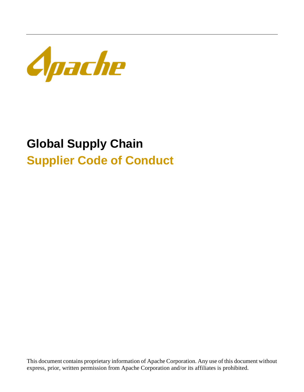

# **Global Supply Chain Supplier Code of Conduct**

This document contains proprietary information of Apache Corporation. Any use of this document without express, prior, written permission from Apache Corporation and/or its affiliates is prohibited.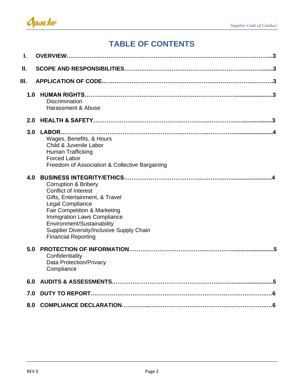# **TABLE OF CONTENTS**

| ı.  |                                                                                                                                                                                                                                                                                                     |
|-----|-----------------------------------------------------------------------------------------------------------------------------------------------------------------------------------------------------------------------------------------------------------------------------------------------------|
| Ш.  |                                                                                                                                                                                                                                                                                                     |
| Ш.  |                                                                                                                                                                                                                                                                                                     |
| 1.0 | Discrimination<br>Harassment & Abuse                                                                                                                                                                                                                                                                |
| 2.0 |                                                                                                                                                                                                                                                                                                     |
| 3.0 | Wages, Benefits, & Hours<br>Child & Juvenile Labor<br><b>Human Trafficking</b><br><b>Forced Labor</b><br>Freedom of Association & Collective Bargaining                                                                                                                                             |
| 4.0 | <b>Corruption &amp; Bribery</b><br><b>Conflict of Interest</b><br>Gifts, Entertainment, & Travel<br>Legal Compliance<br>Fair Competition & Marketing<br><b>Immigration Laws Compliance</b><br>Environment/Sustainability<br>Supplier Diversity/Inclusive Supply Chain<br><b>Financial Reporting</b> |
| 5.0 | Confidentiality<br><b>Data Protection/Privacy</b><br>Compliance                                                                                                                                                                                                                                     |
| 6.0 |                                                                                                                                                                                                                                                                                                     |
| 7.0 |                                                                                                                                                                                                                                                                                                     |
| 8.0 |                                                                                                                                                                                                                                                                                                     |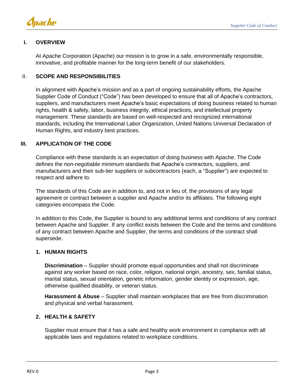

# **I. OVERVIEW**

At Apache Corporation (Apache) our mission is to grow in a safe, environmentally responsible, innovative, and profitable manner for the long-term benefit of our stakeholders.

## II. **SCOPE AND RESPONSIBILITIES**

In alignment with Apache's mission and as a part of ongoing sustainability efforts, the Apache Supplier Code of Conduct ("Code") has been developed to ensure that all of Apache's contractors, suppliers, and manufacturers meet Apache's basic expectations of doing business related to human rights, health & safety, labor, business integrity, ethical practices, and intellectual property management. These standards are based on well-respected and recognized international standards, including the International Labor Organization, United Nations Universal Declaration of Human Rights, and industry best practices.

# **III. APPLICATION OF THE CODE**

Compliance with these standards is an expectation of doing business with Apache. The Code defines the non-negotiable minimum standards that Apache's contractors, suppliers, and manufacturers and their sub-tier suppliers or subcontractors (each, a "Supplier") are expected to respect and adhere to.

The standards of this Code are in addition to, and not in lieu of, the provisions of any legal agreement or contract between a supplier and Apache and/or its affiliates. The following eight categories encompass the Code.

In addition to this Code, the Supplier is bound to any additional terms and conditions of any contract between Apache and Supplier. If any conflict exists between the Code and the terms and conditions of any contract between Apache and Supplier, the terms and conditions of the contract shall supersede.

## **1. HUMAN RIGHTS**

**Discrimination** – Supplier should promote equal opportunities and shall not discriminate against any worker based on race, color, religion, national origin, ancestry, sex, familial status, marital status, sexual orientation, genetic information, gender identity or expression, age, otherwise qualified disability, or veteran status.

**Harassment & Abuse** – Supplier shall maintain workplaces that are free from discrimination and physical and verbal harassment.

# **2. HEALTH & SAFETY**

Supplier must ensure that it has a safe and healthy work environment in compliance with all applicable laws and regulations related to workplace conditions.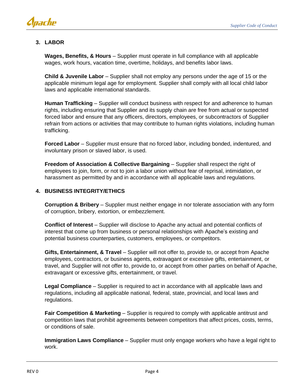

# **3. LABOR**

**Wages, Benefits, & Hours** – Supplier must operate in full compliance with all applicable wages, work hours, vacation time, overtime, holidays, and benefits labor laws.

**Child & Juvenile Labor** – Supplier shall not employ any persons under the age of 15 or the applicable minimum legal age for employment. Supplier shall comply with all local child labor laws and applicable international standards.

**Human Trafficking** – Supplier will conduct business with respect for and adherence to human rights, including ensuring that Supplier and its supply chain are free from actual or suspected forced labor and ensure that any officers, directors, employees, or subcontractors of Supplier refrain from actions or activities that may contribute to human rights violations, including human trafficking.

**Forced Labor** – Supplier must ensure that no forced labor, including bonded, indentured, and involuntary prison or slaved labor, is used.

**Freedom of Association & Collective Bargaining** – Supplier shall respect the right of employees to join, form, or not to join a labor union without fear of reprisal, intimidation, or harassment as permitted by and in accordance with all applicable laws and regulations.

# **4. BUSINESS INTEGRITY/ETHICS**

**Corruption & Bribery** – Supplier must neither engage in nor tolerate association with any form of corruption, bribery, extortion, or embezzlement.

**Conflict of Interest** – Supplier will disclose to Apache any actual and potential conflicts of interest that come up from business or personal relationships with Apache's existing and potential business counterparties, customers, employees, or competitors.

**Gifts, Entertainment, & Travel** – Supplier will not offer to, provide to, or accept from Apache employees, contractors, or business agents, extravagant or excessive gifts, entertainment, or travel, and Supplier will not offer to, provide to, or accept from other parties on behalf of Apache, extravagant or excessive gifts, entertainment, or travel.

**Legal Compliance** – Supplier is required to act in accordance with all applicable laws and regulations, including all applicable national, federal, state, provincial, and local laws and regulations.

**Fair Competition & Marketing** – Supplier is required to comply with applicable antitrust and competition laws that prohibit agreements between competitors that affect prices, costs, terms, or conditions of sale.

**Immigration Laws Compliance** – Supplier must only engage workers who have a legal right to work.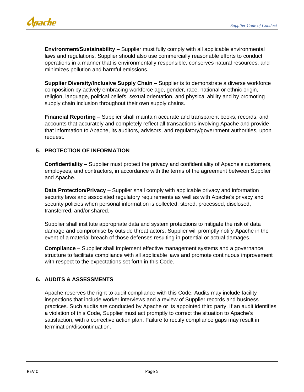

**Environment/Sustainability** – Supplier must fully comply with all applicable environmental laws and regulations. Supplier should also use commercially reasonable efforts to conduct operations in a manner that is environmentally responsible, conserves natural resources, and minimizes pollution and harmful emissions.

**Supplier Diversity/Inclusive Supply Chain** – Supplier is to demonstrate a diverse workforce composition by actively embracing workforce age, gender, race, national or ethnic origin, religion, language, political beliefs, sexual orientation, and physical ability and by promoting supply chain inclusion throughout their own supply chains.

**Financial Reporting** – Supplier shall maintain accurate and transparent books, records, and accounts that accurately and completely reflect all transactions involving Apache and provide that information to Apache, its auditors, advisors, and regulatory/government authorities, upon request.

# **5. PROTECTION OF INFORMATION**

**Confidentiality** – Supplier must protect the privacy and confidentiality of Apache's customers, employees, and contractors, in accordance with the terms of the agreement between Supplier and Apache.

**Data Protection/Privacy** – Supplier shall comply with applicable privacy and information security laws and associated regulatory requirements as well as with Apache's privacy and security policies when personal information is collected, stored, processed, disclosed, transferred, and/or shared.

Supplier shall institute appropriate data and system protections to mitigate the risk of data damage and compromise by outside threat actors. Supplier will promptly notify Apache in the event of a material breach of those defenses resulting in potential or actual damages.

**Compliance** – Supplier shall implement effective management systems and a governance structure to facilitate compliance with all applicable laws and promote continuous improvement with respect to the expectations set forth in this Code.

## **6. AUDITS & ASSESSMENTS**

Apache reserves the right to audit compliance with this Code. Audits may include facility inspections that include worker interviews and a review of Supplier records and business practices. Such audits are conducted by Apache or its appointed third party. If an audit identifies a violation of this Code, Supplier must act promptly to correct the situation to Apache's satisfaction, with a corrective action plan. Failure to rectify compliance gaps may result in termination/discontinuation.